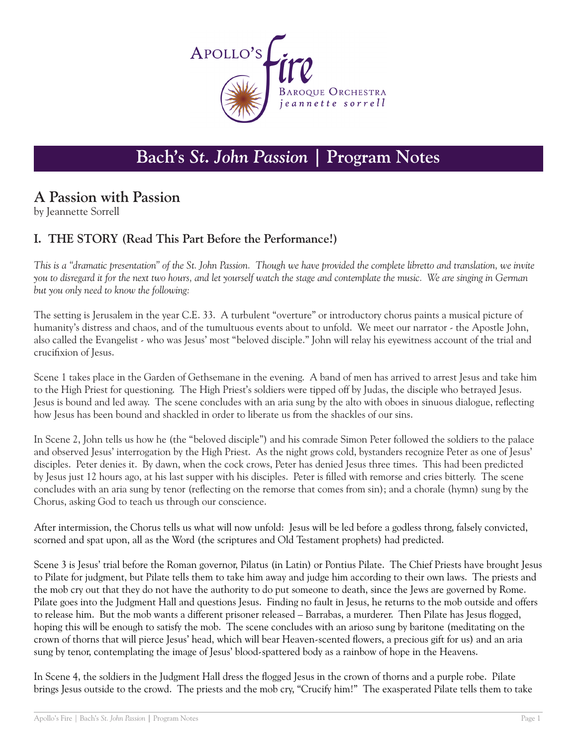

# **Bach's** *St. John Passion* **| Program Notes**

## **A Passion with Passion**

by Jeannette Sorrell

#### **I. THE STORY (Read This Part Before the Performance!)**

*This is a "dramatic presentation" of the St. John Passion. Though we have provided the complete libretto and translation, we invite you to disregard it for the next two hours, and let yourself watch the stage and contemplate the music. We are singing in German but you only need to know the following:*

The setting is Jerusalem in the year C.E. 33. A turbulent "overture" or introductory chorus paints a musical picture of humanity's distress and chaos, and of the tumultuous events about to unfold. We meet our narrator - the Apostle John, also called the Evangelist - who was Jesus' most "beloved disciple." John will relay his eyewitness account of the trial and crucifixion of Jesus.

Scene 1 takes place in the Garden of Gethsemane in the evening. A band of men has arrived to arrest Jesus and take him to the High Priest for questioning. The High Priest's soldiers were tipped off by Judas, the disciple who betrayed Jesus. Jesus is bound and led away. The scene concludes with an aria sung by the alto with oboes in sinuous dialogue, reflecting how Jesus has been bound and shackled in order to liberate us from the shackles of our sins.

In Scene 2, John tells us how he (the "beloved disciple") and his comrade Simon Peter followed the soldiers to the palace and observed Jesus' interrogation by the High Priest. As the night grows cold, bystanders recognize Peter as one of Jesus' disciples. Peter denies it. By dawn, when the cock crows, Peter has denied Jesus three times. This had been predicted by Jesus just 12 hours ago, at his last supper with his disciples. Peter is filled with remorse and cries bitterly. The scene concludes with an aria sung by tenor (reflecting on the remorse that comes from sin); and a chorale (hymn) sung by the Chorus, asking God to teach us through our conscience.

After intermission, the Chorus tells us what will now unfold: Jesus will be led before a godless throng, falsely convicted, scorned and spat upon, all as the Word (the scriptures and Old Testament prophets) had predicted.

Scene 3 is Jesus' trial before the Roman governor, Pilatus (in Latin) or Pontius Pilate. The Chief Priests have brought Jesus to Pilate for judgment, but Pilate tells them to take him away and judge him according to their own laws. The priests and the mob cry out that they do not have the authority to do put someone to death, since the Jews are governed by Rome. Pilate goes into the Judgment Hall and questions Jesus. Finding no fault in Jesus, he returns to the mob outside and offers to release him. But the mob wants a different prisoner released – Barrabas, a murderer. Then Pilate has Jesus flogged, hoping this will be enough to satisfy the mob. The scene concludes with an arioso sung by baritone (meditating on the crown of thorns that will pierce Jesus' head, which will bear Heaven-scented flowers, a precious gift for us) and an aria sung by tenor, contemplating the image of Jesus' blood-spattered body as a rainbow of hope in the Heavens.

In Scene 4, the soldiers in the Judgment Hall dress the flogged Jesus in the crown of thorns and a purple robe. Pilate brings Jesus outside to the crowd. The priests and the mob cry, "Crucify him!" The exasperated Pilate tells them to take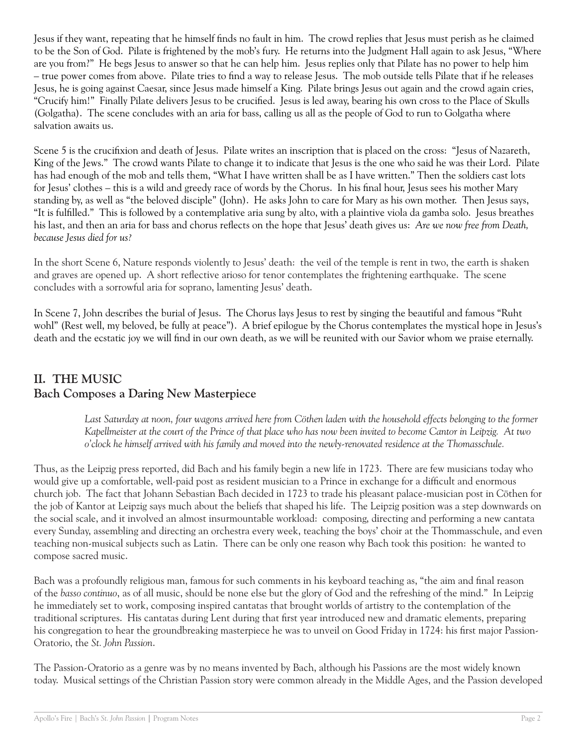Jesus if they want, repeating that he himself finds no fault in him. The crowd replies that Jesus must perish as he claimed to be the Son of God. Pilate is frightened by the mob's fury. He returns into the Judgment Hall again to ask Jesus, "Where are you from?" He begs Jesus to answer so that he can help him. Jesus replies only that Pilate has no power to help him – true power comes from above. Pilate tries to find a way to release Jesus. The mob outside tells Pilate that if he releases Jesus, he is going against Caesar, since Jesus made himself a King. Pilate brings Jesus out again and the crowd again cries, "Crucify him!" Finally Pilate delivers Jesus to be crucified. Jesus is led away, bearing his own cross to the Place of Skulls (Golgatha). The scene concludes with an aria for bass, calling us all as the people of God to run to Golgatha where salvation awaits us.

Scene 5 is the crucifixion and death of Jesus. Pilate writes an inscription that is placed on the cross: "Jesus of Nazareth, King of the Jews." The crowd wants Pilate to change it to indicate that Jesus is the one who said he was their Lord. Pilate has had enough of the mob and tells them, "What I have written shall be as I have written." Then the soldiers cast lots for Jesus' clothes – this is a wild and greedy race of words by the Chorus. In his final hour, Jesus sees his mother Mary standing by, as well as "the beloved disciple" (John). He asks John to care for Mary as his own mother. Then Jesus says, "It is fulfilled." This is followed by a contemplative aria sung by alto, with a plaintive viola da gamba solo. Jesus breathes his last, and then an aria for bass and chorus reflects on the hope that Jesus' death gives us: *Are we now free from Death, because Jesus died for us?*

In the short Scene 6, Nature responds violently to Jesus' death: the veil of the temple is rent in two, the earth is shaken and graves are opened up. A short reflective arioso for tenor contemplates the frightening earthquake. The scene concludes with a sorrowful aria for soprano, lamenting Jesus' death.

In Scene 7, John describes the burial of Jesus. The Chorus lays Jesus to rest by singing the beautiful and famous "Ruht wohl" (Rest well, my beloved, be fully at peace"). A brief epilogue by the Chorus contemplates the mystical hope in Jesus's death and the ecstatic joy we will find in our own death, as we will be reunited with our Savior whom we praise eternally.

### **II. THE MUSIC Bach Composes a Daring New Masterpiece**

Last Saturday at noon, four wagons arrived here from Cöthen laden with the household effects belonging to the former *Kapellmeister at the court of the Prince of that place who has now been invited to become Cantor in Leipzig. At two o'clock he himself arrived with his family and moved into the newly-renovated residence at the Thomasschule.*

Thus, as the Leipzig press reported, did Bach and his family begin a new life in 1723. There are few musicians today who would give up a comfortable, well-paid post as resident musician to a Prince in exchange for a difficult and enormous church job. The fact that Johann Sebastian Bach decided in 1723 to trade his pleasant palace-musician post in Cöthen for the job of Kantor at Leipzig says much about the beliefs that shaped his life. The Leipzig position was a step downwards on the social scale, and it involved an almost insurmountable workload: composing, directing and performing a new cantata every Sunday, assembling and directing an orchestra every week, teaching the boys' choir at the Thommasschule, and even teaching non-musical subjects such as Latin. There can be only one reason why Bach took this position: he wanted to compose sacred music.

Bach was a profoundly religious man, famous for such comments in his keyboard teaching as, "the aim and final reason of the *basso continuo*, as of all music, should be none else but the glory of God and the refreshing of the mind." In Leipzig he immediately set to work, composing inspired cantatas that brought worlds of artistry to the contemplation of the traditional scriptures. His cantatas during Lent during that first year introduced new and dramatic elements, preparing his congregation to hear the groundbreaking masterpiece he was to unveil on Good Friday in 1724: his first major Passion-Oratorio, the *St. John Passion*.

The Passion-Oratorio as a genre was by no means invented by Bach, although his Passions are the most widely known today. Musical settings of the Christian Passion story were common already in the Middle Ages, and the Passion developed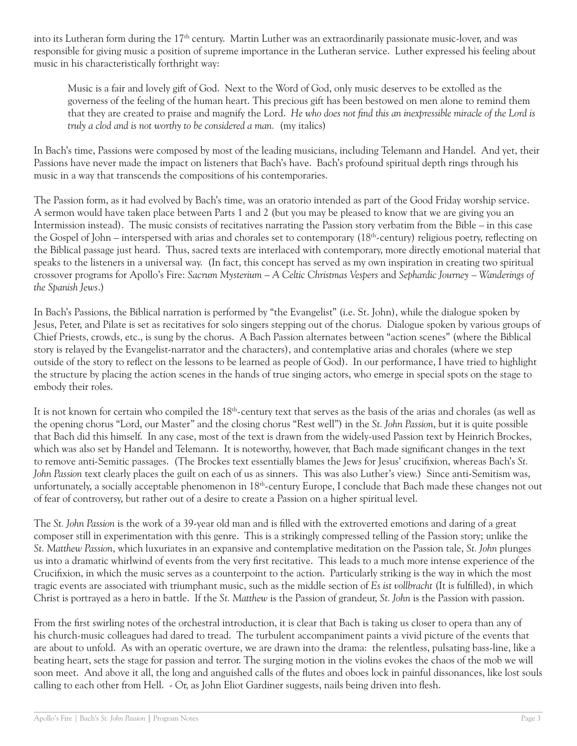into its Lutheran form during the  $17<sup>th</sup>$  century. Martin Luther was an extraordinarily passionate music-lover, and was responsible for giving music a position of supreme importance in the Lutheran service. Luther expressed his feeling about music in his characteristically forthright way:

Music is a fair and lovely gift of God. Next to the Word of God, only music deserves to be extolled as the governess of the feeling of the human heart. This precious gift has been bestowed on men alone to remind them that they are created to praise and magnify the Lord. *He who does not find this an inexpressible miracle of the Lord is truly a clod and is not worthy to be considered a man.* (my italics)

In Bach's time, Passions were composed by most of the leading musicians, including Telemann and Handel. And yet, their Passions have never made the impact on listeners that Bach's have. Bach's profound spiritual depth rings through his music in a way that transcends the compositions of his contemporaries.

The Passion form, as it had evolved by Bach's time, was an oratorio intended as part of the Good Friday worship service. A sermon would have taken place between Parts 1 and 2 (but you may be pleased to know that we are giving you an Intermission instead). The music consists of recitatives narrating the Passion story verbatim from the Bible – in this case the Gospel of John – interspersed with arias and chorales set to contemporary  $(18<sup>th</sup>$ -century) religious poetry, reflecting on the Biblical passage just heard. Thus, sacred texts are interlaced with contemporary, more directly emotional material that speaks to the listeners in a universal way. (In fact, this concept has served as my own inspiration in creating two spiritual crossover programs for Apollo's Fire: *Sacrum Mysterium – A Celtic Christmas Vespers* and *Sephardic Journey – Wanderings of the Spanish Jews*.)

In Bach's Passions, the Biblical narration is performed by "the Evangelist" (i.e. St. John), while the dialogue spoken by Jesus, Peter, and Pilate is set as recitatives for solo singers stepping out of the chorus. Dialogue spoken by various groups of Chief Priests, crowds, etc., is sung by the chorus. A Bach Passion alternates between "action scenes" (where the Biblical story is relayed by the Evangelist-narrator and the characters), and contemplative arias and chorales (where we step outside of the story to reflect on the lessons to be learned as people of God). In our performance, I have tried to highlight the structure by placing the action scenes in the hands of true singing actors, who emerge in special spots on the stage to embody their roles.

It is not known for certain who compiled the 18<sup>th</sup>-century text that serves as the basis of the arias and chorales (as well as the opening chorus "Lord, our Master" and the closing chorus "Rest well") in the *St. John Passion*, but it is quite possible that Bach did this himself. In any case, most of the text is drawn from the widely-used Passion text by Heinrich Brockes, which was also set by Handel and Telemann. It is noteworthy, however, that Bach made significant changes in the text to remove anti-Semitic passages. (The Brockes text essentially blames the Jews for Jesus' crucifixion, whereas Bach's *St. John Passion* text clearly places the guilt on each of us as sinners. This was also Luther's view.) Since anti-Semitism was, unfortunately, a socially acceptable phenomenon in 18th-century Europe, I conclude that Bach made these changes not out of fear of controversy, but rather out of a desire to create a Passion on a higher spiritual level.

The *St. John Passion* is the work of a 39-year old man and is filled with the extroverted emotions and daring of a great composer still in experimentation with this genre. This is a strikingly compressed telling of the Passion story; unlike the *St. Matthew Passion*, which luxuriates in an expansive and contemplative meditation on the Passion tale, *St. John* plunges us into a dramatic whirlwind of events from the very first recitative. This leads to a much more intense experience of the Crucifixion, in which the music serves as a counterpoint to the action. Particularly striking is the way in which the most tragic events are associated with triumphant music, such as the middle section of *Es ist vollbracht* (It is fulfilled), in which Christ is portrayed as a hero in battle. If the *St. Matthew* is the Passion of grandeur, *St. John* is the Passion with passion.

From the first swirling notes of the orchestral introduction, it is clear that Bach is taking us closer to opera than any of his church-music colleagues had dared to tread. The turbulent accompaniment paints a vivid picture of the events that are about to unfold. As with an operatic overture, we are drawn into the drama: the relentless, pulsating bass-line, like a beating heart, sets the stage for passion and terror. The surging motion in the violins evokes the chaos of the mob we will soon meet. And above it all, the long and anguished calls of the flutes and oboes lock in painful dissonances, like lost souls calling to each other from Hell. - Or, as John Eliot Gardiner suggests, nails being driven into flesh.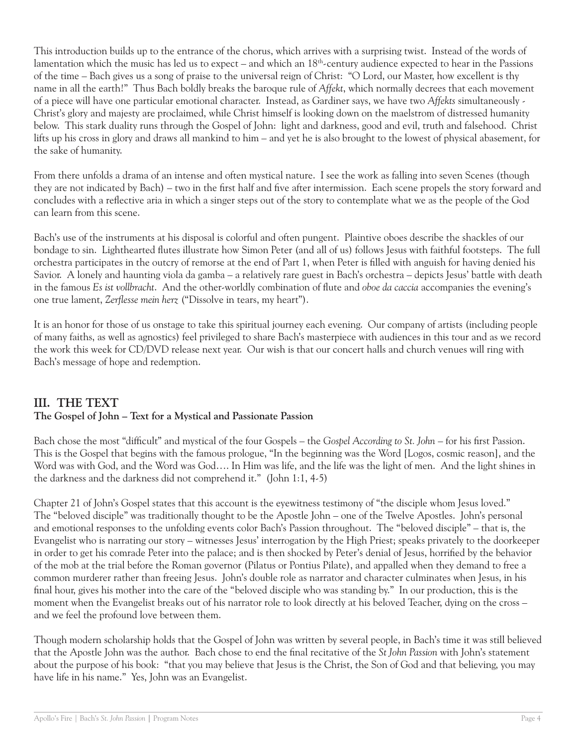This introduction builds up to the entrance of the chorus, which arrives with a surprising twist. Instead of the words of lamentation which the music has led us to expect – and which an 18th-century audience expected to hear in the Passions of the time – Bach gives us a song of praise to the universal reign of Christ: "O Lord, our Master, how excellent is thy name in all the earth!" Thus Bach boldly breaks the baroque rule of *Affekt*, which normally decrees that each movement of a piece will have one particular emotional character. Instead, as Gardiner says, we have two *Affekts* simultaneously - Christ's glory and majesty are proclaimed, while Christ himself is looking down on the maelstrom of distressed humanity below. This stark duality runs through the Gospel of John: light and darkness, good and evil, truth and falsehood. Christ lifts up his cross in glory and draws all mankind to him – and yet he is also brought to the lowest of physical abasement, for the sake of humanity.

From there unfolds a drama of an intense and often mystical nature. I see the work as falling into seven Scenes (though they are not indicated by Bach) – two in the first half and five after intermission. Each scene propels the story forward and concludes with a reflective aria in which a singer steps out of the story to contemplate what we as the people of the God can learn from this scene.

Bach's use of the instruments at his disposal is colorful and often pungent. Plaintive oboes describe the shackles of our bondage to sin. Lighthearted flutes illustrate how Simon Peter (and all of us) follows Jesus with faithful footsteps. The full orchestra participates in the outcry of remorse at the end of Part 1, when Peter is filled with anguish for having denied his Savior. A lonely and haunting viola da gamba – a relatively rare guest in Bach's orchestra – depicts Jesus' battle with death in the famous *Es ist vollbracht*. And the other-worldly combination of flute and *oboe da caccia* accompanies the evening's one true lament, *Zerflesse mein herz* ("Dissolve in tears, my heart").

It is an honor for those of us onstage to take this spiritual journey each evening. Our company of artists (including people of many faiths, as well as agnostics) feel privileged to share Bach's masterpiece with audiences in this tour and as we record the work this week for CD/DVD release next year. Our wish is that our concert halls and church venues will ring with Bach's message of hope and redemption.

#### **III. THE TEXT**

#### **The Gospel of John – Text for a Mystical and Passionate Passion**

Bach chose the most "difficult" and mystical of the four Gospels – the *Gospel According to St. John* – for his first Passion. This is the Gospel that begins with the famous prologue, "In the beginning was the Word [Logos, cosmic reason], and the Word was with God, and the Word was God…. In Him was life, and the life was the light of men. And the light shines in the darkness and the darkness did not comprehend it." (John 1:1, 4-5)

Chapter 21 of John's Gospel states that this account is the eyewitness testimony of "the disciple whom Jesus loved." The "beloved disciple" was traditionally thought to be the Apostle John – one of the Twelve Apostles. John's personal and emotional responses to the unfolding events color Bach's Passion throughout. The "beloved disciple" – that is, the Evangelist who is narrating our story – witnesses Jesus' interrogation by the High Priest; speaks privately to the doorkeeper in order to get his comrade Peter into the palace; and is then shocked by Peter's denial of Jesus, horrified by the behavior of the mob at the trial before the Roman governor (Pilatus or Pontius Pilate), and appalled when they demand to free a common murderer rather than freeing Jesus. John's double role as narrator and character culminates when Jesus, in his final hour, gives his mother into the care of the "beloved disciple who was standing by." In our production, this is the moment when the Evangelist breaks out of his narrator role to look directly at his beloved Teacher, dying on the cross – and we feel the profound love between them.

Though modern scholarship holds that the Gospel of John was written by several people, in Bach's time it was still believed that the Apostle John was the author. Bach chose to end the final recitative of the *St John Passion* with John's statement about the purpose of his book: "that you may believe that Jesus is the Christ, the Son of God and that believing, you may have life in his name." Yes, John was an Evangelist.